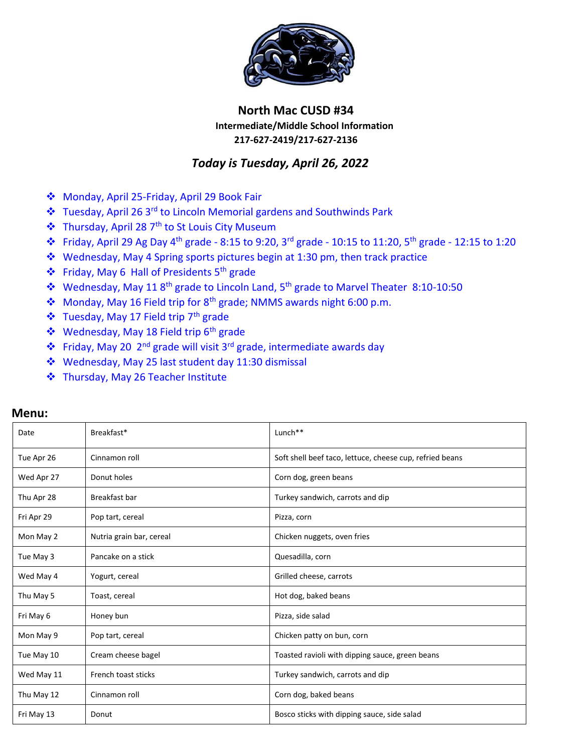

## **North Mac CUSD #34 Intermediate/Middle School Information 217-627-2419/217-627-2136**

## *Today is Tuesday, April 26, 2022*

- Monday, April 25-Friday, April 29 Book Fair
- Tuesday, April 26 3rd to Lincoln Memorial gardens and Southwinds Park
- ❖ Thursday, April 28 7<sup>th</sup> to St Louis City Museum
- ◆ Friday, April 29 Ag Day 4<sup>th</sup> grade 8:15 to 9:20, 3<sup>rd</sup> grade 10:15 to 11:20, 5<sup>th</sup> grade 12:15 to 1:20
- Wednesday, May 4 Spring sports pictures begin at 1:30 pm, then track practice
- $\cdot$  Friday, May 6 Hall of Presidents 5<sup>th</sup> grade
- \* Wednesday, May 11 8<sup>th</sup> grade to Lincoln Land, 5<sup>th</sup> grade to Marvel Theater 8:10-10:50
- Monday, May 16 Field trip for 8<sup>th</sup> grade; NMMS awards night 6:00 p.m.
- ❖ Tuesday, May 17 Field trip 7<sup>th</sup> grade
- ❖ Wednesday, May 18 Field trip 6<sup>th</sup> grade
- Friday, May 20 2nd grade will visit 3rd grade, intermediate awards day
- Wednesday, May 25 last student day 11:30 dismissal
- Thursday, May 26 Teacher Institute

| Date       | Breakfast*               | Lunch <sup>**</sup>                                      |  |
|------------|--------------------------|----------------------------------------------------------|--|
| Tue Apr 26 | Cinnamon roll            | Soft shell beef taco, lettuce, cheese cup, refried beans |  |
| Wed Apr 27 | Donut holes              | Corn dog, green beans                                    |  |
| Thu Apr 28 | Breakfast bar            | Turkey sandwich, carrots and dip                         |  |
| Fri Apr 29 | Pop tart, cereal         | Pizza, corn                                              |  |
| Mon May 2  | Nutria grain bar, cereal | Chicken nuggets, oven fries                              |  |
| Tue May 3  | Pancake on a stick       | Quesadilla, corn                                         |  |
| Wed May 4  | Yogurt, cereal           | Grilled cheese, carrots                                  |  |
| Thu May 5  | Toast, cereal            | Hot dog, baked beans                                     |  |
| Fri May 6  | Honey bun                | Pizza, side salad                                        |  |
| Mon May 9  | Pop tart, cereal         | Chicken patty on bun, corn                               |  |
| Tue May 10 | Cream cheese bagel       | Toasted ravioli with dipping sauce, green beans          |  |
| Wed May 11 | French toast sticks      | Turkey sandwich, carrots and dip                         |  |
| Thu May 12 | Cinnamon roll            | Corn dog, baked beans                                    |  |
| Fri May 13 | Donut                    | Bosco sticks with dipping sauce, side salad              |  |

## **Menu:**